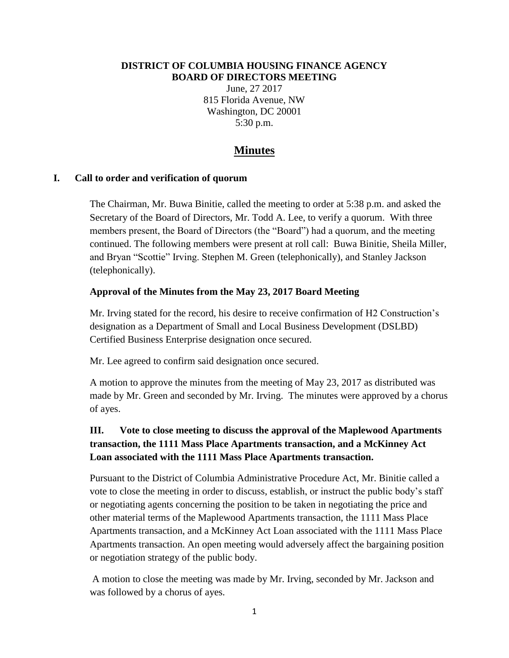#### **DISTRICT OF COLUMBIA HOUSING FINANCE AGENCY BOARD OF DIRECTORS MEETING**

June, 27 2017 815 Florida Avenue, NW Washington, DC 20001 5:30 p.m.

# **Minutes**

#### **I. Call to order and verification of quorum**

The Chairman, Mr. Buwa Binitie, called the meeting to order at 5:38 p.m. and asked the Secretary of the Board of Directors, Mr. Todd A. Lee, to verify a quorum. With three members present, the Board of Directors (the "Board") had a quorum, and the meeting continued. The following members were present at roll call: Buwa Binitie, Sheila Miller, and Bryan "Scottie" Irving. Stephen M. Green (telephonically), and Stanley Jackson (telephonically).

#### **Approval of the Minutes from the May 23, 2017 Board Meeting**

Mr. Irving stated for the record, his desire to receive confirmation of H2 Construction's designation as a Department of Small and Local Business Development (DSLBD) Certified Business Enterprise designation once secured.

Mr. Lee agreed to confirm said designation once secured.

A motion to approve the minutes from the meeting of May 23, 2017 as distributed was made by Mr. Green and seconded by Mr. Irving. The minutes were approved by a chorus of ayes.

# **III. Vote to close meeting to discuss the approval of the Maplewood Apartments transaction, the 1111 Mass Place Apartments transaction, and a McKinney Act Loan associated with the 1111 Mass Place Apartments transaction.**

Pursuant to the District of Columbia Administrative Procedure Act, Mr. Binitie called a vote to close the meeting in order to discuss, establish, or instruct the public body's staff or negotiating agents concerning the position to be taken in negotiating the price and other material terms of the Maplewood Apartments transaction, the 1111 Mass Place Apartments transaction, and a McKinney Act Loan associated with the 1111 Mass Place Apartments transaction. An open meeting would adversely affect the bargaining position or negotiation strategy of the public body.

A motion to close the meeting was made by Mr. Irving, seconded by Mr. Jackson and was followed by a chorus of ayes.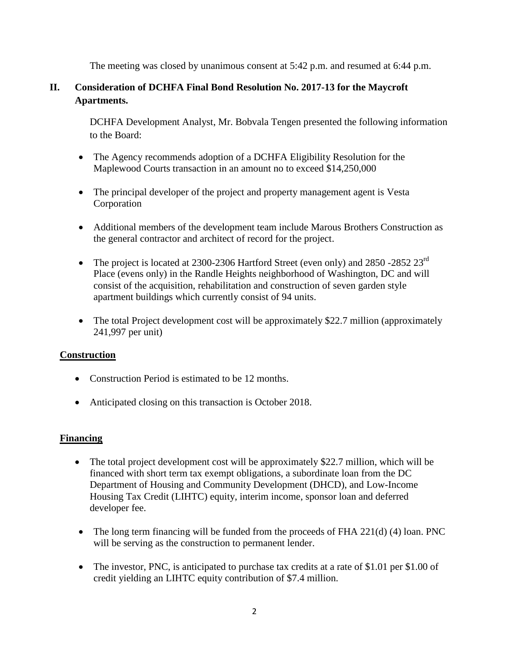The meeting was closed by unanimous consent at 5:42 p.m. and resumed at 6:44 p.m.

# **II. Consideration of DCHFA Final Bond Resolution No. 2017-13 for the Maycroft Apartments.**

DCHFA Development Analyst, Mr. Bobvala Tengen presented the following information to the Board:

- The Agency recommends adoption of a DCHFA Eligibility Resolution for the Maplewood Courts transaction in an amount no to exceed \$14,250,000
- The principal developer of the project and property management agent is Vesta Corporation
- Additional members of the development team include Marous Brothers Construction as the general contractor and architect of record for the project.
- The project is located at 2300-2306 Hartford Street (even only) and 2850 -2852 23<sup>rd</sup> Place (evens only) in the Randle Heights neighborhood of Washington, DC and will consist of the acquisition, rehabilitation and construction of seven garden style apartment buildings which currently consist of 94 units.
- The total Project development cost will be approximately \$22.7 million (approximately 241,997 per unit)

### **Construction**

- Construction Period is estimated to be 12 months.
- Anticipated closing on this transaction is October 2018.

### **Financing**

- The total project development cost will be approximately \$22.7 million, which will be financed with short term tax exempt obligations, a subordinate loan from the DC Department of Housing and Community Development (DHCD), and Low-Income Housing Tax Credit (LIHTC) equity, interim income, sponsor loan and deferred developer fee.
- The long term financing will be funded from the proceeds of FHA 221(d) (4) loan. PNC will be serving as the construction to permanent lender.
- The investor, PNC, is anticipated to purchase tax credits at a rate of \$1.01 per \$1.00 of credit yielding an LIHTC equity contribution of \$7.4 million.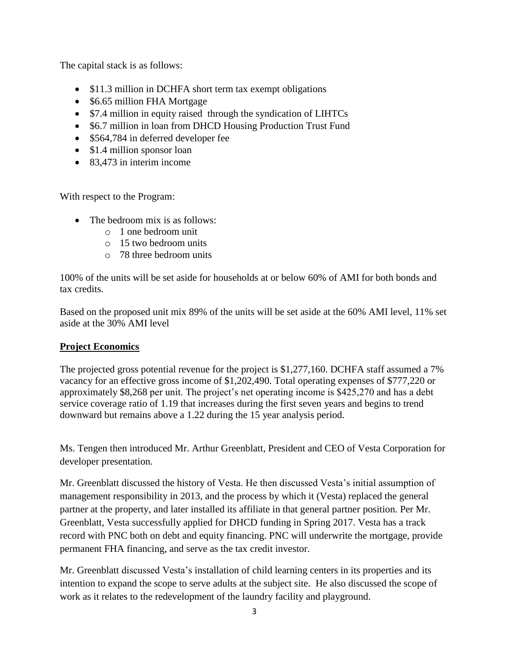The capital stack is as follows:

- \$11.3 million in DCHFA short term tax exempt obligations
- \$6.65 million FHA Mortgage
- \$7.4 million in equity raised through the syndication of LIHTCs
- \$6.7 million in loan from DHCD Housing Production Trust Fund
- \$564,784 in deferred developer fee
- \$1.4 million sponsor loan
- 83,473 in interim income

With respect to the Program:

- The bedroom mix is as follows:
	- o 1 one bedroom unit
	- o 15 two bedroom units
	- o 78 three bedroom units

100% of the units will be set aside for households at or below 60% of AMI for both bonds and tax credits.

Based on the proposed unit mix 89% of the units will be set aside at the 60% AMI level, 11% set aside at the 30% AMI level

### **Project Economics**

The projected gross potential revenue for the project is \$1,277,160. DCHFA staff assumed a 7% vacancy for an effective gross income of \$1,202,490. Total operating expenses of \$777,220 or approximately \$8,268 per unit. The project's net operating income is \$425,270 and has a debt service coverage ratio of 1.19 that increases during the first seven years and begins to trend downward but remains above a 1.22 during the 15 year analysis period.

Ms. Tengen then introduced Mr. Arthur Greenblatt, President and CEO of Vesta Corporation for developer presentation.

Mr. Greenblatt discussed the history of Vesta. He then discussed Vesta's initial assumption of management responsibility in 2013, and the process by which it (Vesta) replaced the general partner at the property, and later installed its affiliate in that general partner position. Per Mr. Greenblatt, Vesta successfully applied for DHCD funding in Spring 2017. Vesta has a track record with PNC both on debt and equity financing. PNC will underwrite the mortgage, provide permanent FHA financing, and serve as the tax credit investor.

Mr. Greenblatt discussed Vesta's installation of child learning centers in its properties and its intention to expand the scope to serve adults at the subject site. He also discussed the scope of work as it relates to the redevelopment of the laundry facility and playground.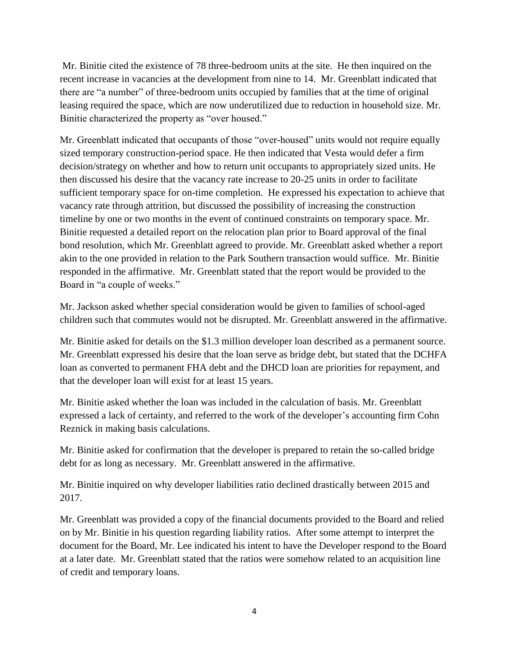Mr. Binitie cited the existence of 78 three-bedroom units at the site. He then inquired on the recent increase in vacancies at the development from nine to 14. Mr. Greenblatt indicated that there are "a number" of three-bedroom units occupied by families that at the time of original leasing required the space, which are now underutilized due to reduction in household size. Mr. Binitie characterized the property as "over housed."

Mr. Greenblatt indicated that occupants of those "over-housed" units would not require equally sized temporary construction-period space. He then indicated that Vesta would defer a firm decision/strategy on whether and how to return unit occupants to appropriately sized units. He then discussed his desire that the vacancy rate increase to 20-25 units in order to facilitate sufficient temporary space for on-time completion. He expressed his expectation to achieve that vacancy rate through attrition, but discussed the possibility of increasing the construction timeline by one or two months in the event of continued constraints on temporary space. Mr. Binitie requested a detailed report on the relocation plan prior to Board approval of the final bond resolution, which Mr. Greenblatt agreed to provide. Mr. Greenblatt asked whether a report akin to the one provided in relation to the Park Southern transaction would suffice. Mr. Binitie responded in the affirmative. Mr. Greenblatt stated that the report would be provided to the Board in "a couple of weeks."

Mr. Jackson asked whether special consideration would be given to families of school-aged children such that commutes would not be disrupted. Mr. Greenblatt answered in the affirmative.

Mr. Binitie asked for details on the \$1.3 million developer loan described as a permanent source. Mr. Greenblatt expressed his desire that the loan serve as bridge debt, but stated that the DCHFA loan as converted to permanent FHA debt and the DHCD loan are priorities for repayment, and that the developer loan will exist for at least 15 years.

Mr. Binitie asked whether the loan was included in the calculation of basis. Mr. Greenblatt expressed a lack of certainty, and referred to the work of the developer's accounting firm Cohn Reznick in making basis calculations.

Mr. Binitie asked for confirmation that the developer is prepared to retain the so-called bridge debt for as long as necessary. Mr. Greenblatt answered in the affirmative.

Mr. Binitie inquired on why developer liabilities ratio declined drastically between 2015 and 2017.

Mr. Greenblatt was provided a copy of the financial documents provided to the Board and relied on by Mr. Binitie in his question regarding liability ratios. After some attempt to interpret the document for the Board, Mr. Lee indicated his intent to have the Developer respond to the Board at a later date. Mr. Greenblatt stated that the ratios were somehow related to an acquisition line of credit and temporary loans.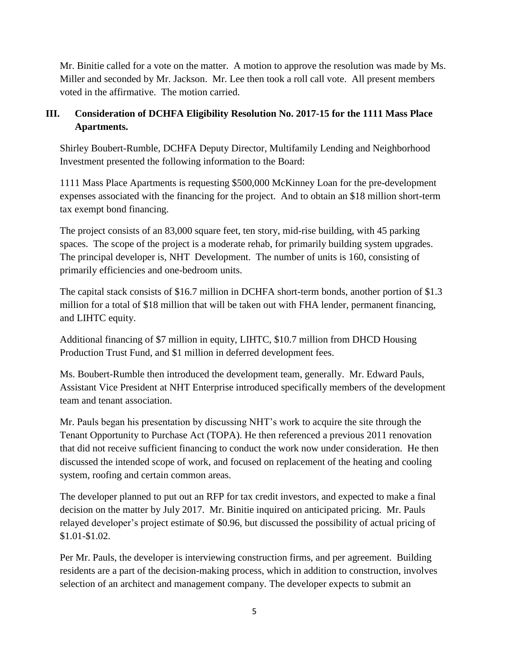Mr. Binitie called for a vote on the matter. A motion to approve the resolution was made by Ms. Miller and seconded by Mr. Jackson. Mr. Lee then took a roll call vote. All present members voted in the affirmative. The motion carried.

## **III. Consideration of DCHFA Eligibility Resolution No. 2017-15 for the 1111 Mass Place Apartments.**

Shirley Boubert-Rumble, DCHFA Deputy Director, Multifamily Lending and Neighborhood Investment presented the following information to the Board:

1111 Mass Place Apartments is requesting \$500,000 McKinney Loan for the pre-development expenses associated with the financing for the project. And to obtain an \$18 million short-term tax exempt bond financing.

The project consists of an 83,000 square feet, ten story, mid-rise building, with 45 parking spaces. The scope of the project is a moderate rehab, for primarily building system upgrades. The principal developer is, NHT Development. The number of units is 160, consisting of primarily efficiencies and one-bedroom units.

The capital stack consists of \$16.7 million in DCHFA short-term bonds, another portion of \$1.3 million for a total of \$18 million that will be taken out with FHA lender, permanent financing, and LIHTC equity.

Additional financing of \$7 million in equity, LIHTC, \$10.7 million from DHCD Housing Production Trust Fund, and \$1 million in deferred development fees.

Ms. Boubert-Rumble then introduced the development team, generally. Mr. Edward Pauls, Assistant Vice President at NHT Enterprise introduced specifically members of the development team and tenant association.

Mr. Pauls began his presentation by discussing NHT's work to acquire the site through the Tenant Opportunity to Purchase Act (TOPA). He then referenced a previous 2011 renovation that did not receive sufficient financing to conduct the work now under consideration. He then discussed the intended scope of work, and focused on replacement of the heating and cooling system, roofing and certain common areas.

The developer planned to put out an RFP for tax credit investors, and expected to make a final decision on the matter by July 2017. Mr. Binitie inquired on anticipated pricing. Mr. Pauls relayed developer's project estimate of \$0.96, but discussed the possibility of actual pricing of \$1.01-\$1.02.

Per Mr. Pauls, the developer is interviewing construction firms, and per agreement. Building residents are a part of the decision-making process, which in addition to construction, involves selection of an architect and management company. The developer expects to submit an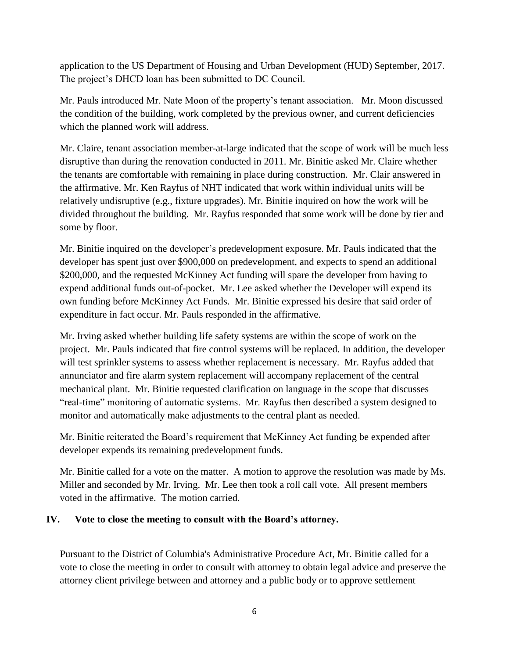application to the US Department of Housing and Urban Development (HUD) September, 2017. The project's DHCD loan has been submitted to DC Council.

Mr. Pauls introduced Mr. Nate Moon of the property's tenant association. Mr. Moon discussed the condition of the building, work completed by the previous owner, and current deficiencies which the planned work will address.

Mr. Claire, tenant association member-at-large indicated that the scope of work will be much less disruptive than during the renovation conducted in 2011. Mr. Binitie asked Mr. Claire whether the tenants are comfortable with remaining in place during construction. Mr. Clair answered in the affirmative. Mr. Ken Rayfus of NHT indicated that work within individual units will be relatively undisruptive (e.g., fixture upgrades). Mr. Binitie inquired on how the work will be divided throughout the building. Mr. Rayfus responded that some work will be done by tier and some by floor.

Mr. Binitie inquired on the developer's predevelopment exposure. Mr. Pauls indicated that the developer has spent just over \$900,000 on predevelopment, and expects to spend an additional \$200,000, and the requested McKinney Act funding will spare the developer from having to expend additional funds out-of-pocket. Mr. Lee asked whether the Developer will expend its own funding before McKinney Act Funds. Mr. Binitie expressed his desire that said order of expenditure in fact occur. Mr. Pauls responded in the affirmative.

Mr. Irving asked whether building life safety systems are within the scope of work on the project. Mr. Pauls indicated that fire control systems will be replaced. In addition, the developer will test sprinkler systems to assess whether replacement is necessary. Mr. Rayfus added that annunciator and fire alarm system replacement will accompany replacement of the central mechanical plant. Mr. Binitie requested clarification on language in the scope that discusses "real-time" monitoring of automatic systems. Mr. Rayfus then described a system designed to monitor and automatically make adjustments to the central plant as needed.

Mr. Binitie reiterated the Board's requirement that McKinney Act funding be expended after developer expends its remaining predevelopment funds.

Mr. Binitie called for a vote on the matter. A motion to approve the resolution was made by Ms. Miller and seconded by Mr. Irving. Mr. Lee then took a roll call vote. All present members voted in the affirmative. The motion carried.

### **IV. Vote to close the meeting to consult with the Board's attorney.**

Pursuant to the District of Columbia's Administrative Procedure Act, Mr. Binitie called for a vote to close the meeting in order to consult with attorney to obtain legal advice and preserve the attorney client privilege between and attorney and a public body or to approve settlement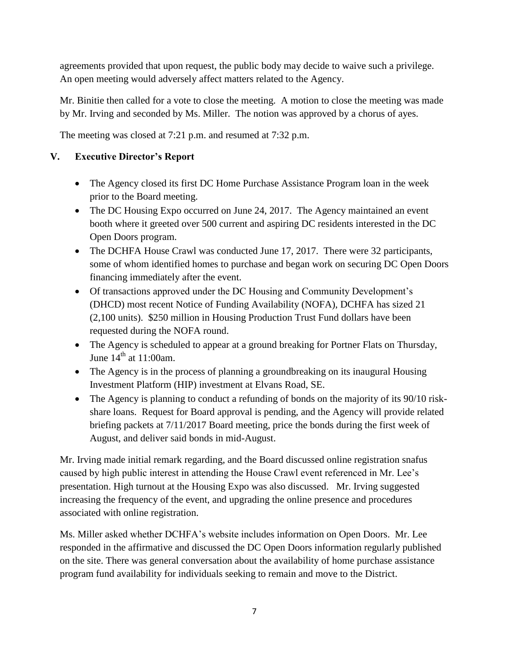agreements provided that upon request, the public body may decide to waive such a privilege. An open meeting would adversely affect matters related to the Agency.

Mr. Binitie then called for a vote to close the meeting. A motion to close the meeting was made by Mr. Irving and seconded by Ms. Miller. The notion was approved by a chorus of ayes.

The meeting was closed at 7:21 p.m. and resumed at 7:32 p.m.

## **V. Executive Director's Report**

- The Agency closed its first DC Home Purchase Assistance Program loan in the week prior to the Board meeting.
- The DC Housing Expo occurred on June 24, 2017. The Agency maintained an event booth where it greeted over 500 current and aspiring DC residents interested in the DC Open Doors program.
- The DCHFA House Crawl was conducted June 17, 2017. There were 32 participants, some of whom identified homes to purchase and began work on securing DC Open Doors financing immediately after the event.
- Of transactions approved under the DC Housing and Community Development's (DHCD) most recent Notice of Funding Availability (NOFA), DCHFA has sized 21 (2,100 units). \$250 million in Housing Production Trust Fund dollars have been requested during the NOFA round.
- The Agency is scheduled to appear at a ground breaking for Portner Flats on Thursday, June  $14<sup>th</sup>$  at 11:00am.
- The Agency is in the process of planning a groundbreaking on its inaugural Housing Investment Platform (HIP) investment at Elvans Road, SE.
- The Agency is planning to conduct a refunding of bonds on the majority of its 90/10 riskshare loans. Request for Board approval is pending, and the Agency will provide related briefing packets at 7/11/2017 Board meeting, price the bonds during the first week of August, and deliver said bonds in mid-August.

Mr. Irving made initial remark regarding, and the Board discussed online registration snafus caused by high public interest in attending the House Crawl event referenced in Mr. Lee's presentation. High turnout at the Housing Expo was also discussed. Mr. Irving suggested increasing the frequency of the event, and upgrading the online presence and procedures associated with online registration.

Ms. Miller asked whether DCHFA's website includes information on Open Doors. Mr. Lee responded in the affirmative and discussed the DC Open Doors information regularly published on the site. There was general conversation about the availability of home purchase assistance program fund availability for individuals seeking to remain and move to the District.